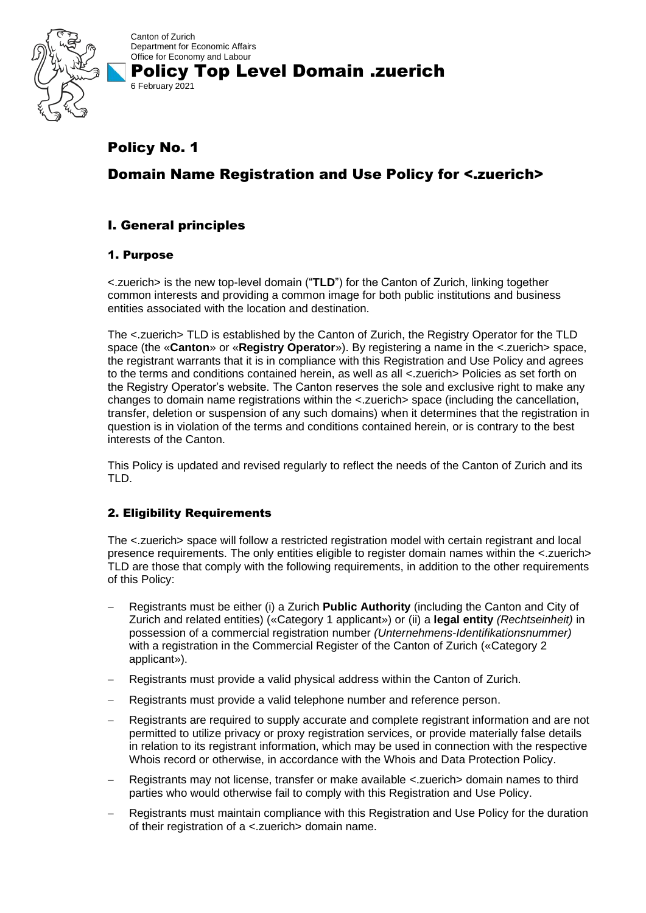

Canton of Zurich Department for Economic Affairs Office for Economy and Labour Policy Top Level Domain .zuerich 6 February 2021

# Policy No. 1

# Domain Name Registration and Use Policy for <.zuerich>

## I. General principles

## 1. Purpose

<.zuerich> is the new top-level domain ("**TLD**") for the Canton of Zurich, linking together common interests and providing a common image for both public institutions and business entities associated with the location and destination.

The <.zuerich> TLD is established by the Canton of Zurich, the Registry Operator for the TLD space (the «**Canton**» or «**Registry Operator**»). By registering a name in the <.zuerich> space, the registrant warrants that it is in compliance with this Registration and Use Policy and agrees to the terms and conditions contained herein, as well as all <.zuerich> Policies as set forth on the Registry Operator's website. The Canton reserves the sole and exclusive right to make any changes to domain name registrations within the <.zuerich> space (including the cancellation, transfer, deletion or suspension of any such domains) when it determines that the registration in question is in violation of the terms and conditions contained herein, or is contrary to the best interests of the Canton.

This Policy is updated and revised regularly to reflect the needs of the Canton of Zurich and its TLD.

## 2. Eligibility Requirements

The <.zuerich> space will follow a restricted registration model with certain registrant and local presence requirements. The only entities eligible to register domain names within the <.zuerich> TLD are those that comply with the following requirements, in addition to the other requirements of this Policy:

- − Registrants must be either (i) a Zurich **Public Authority** (including the Canton and City of Zurich and related entities) («Category 1 applicant») or (ii) a **legal entity** *(Rechtseinheit)* in possession of a commercial registration number *(Unternehmens-Identifikationsnummer)* with a registration in the Commercial Register of the Canton of Zurich («Category 2 applicant»).
- − Registrants must provide a valid physical address within the Canton of Zurich.
- − Registrants must provide a valid telephone number and reference person.
- − Registrants are required to supply accurate and complete registrant information and are not permitted to utilize privacy or proxy registration services, or provide materially false details in relation to its registrant information, which may be used in connection with the respective Whois record or otherwise, in accordance with the Whois and Data Protection Policy.
- − Registrants may not license, transfer or make available <.zuerich> domain names to third parties who would otherwise fail to comply with this Registration and Use Policy.
- Registrants must maintain compliance with this Registration and Use Policy for the duration of their registration of a <.zuerich> domain name.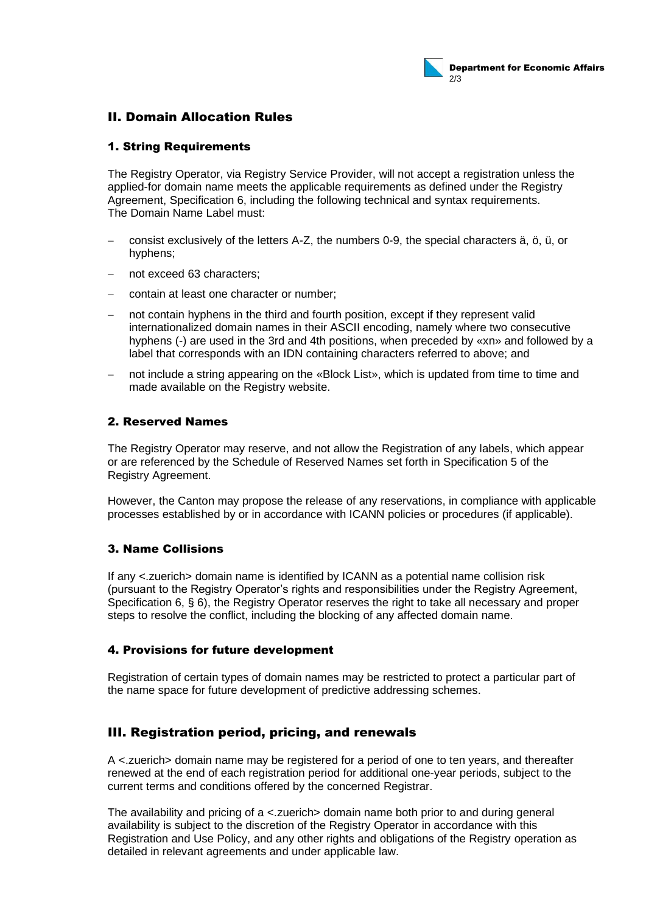## II. Domain Allocation Rules

## 1. String Requirements

The Registry Operator, via Registry Service Provider, will not accept a registration unless the applied-for domain name meets the applicable requirements as defined under the Registry Agreement, Specification 6, including the following technical and syntax requirements. The Domain Name Label must:

- − consist exclusively of the letters A-Z, the numbers 0-9, the special characters ä, ö, ü, or hyphens;
- not exceed 63 characters;
- − contain at least one character or number;
- not contain hyphens in the third and fourth position, except if they represent valid internationalized domain names in their ASCII encoding, namely where two consecutive hyphens (-) are used in the 3rd and 4th positions, when preceded by «xn» and followed by a label that corresponds with an IDN containing characters referred to above; and
- not include a string appearing on the «Block List», which is updated from time to time and made available on the Registry website.

## 2. Reserved Names

The Registry Operator may reserve, and not allow the Registration of any labels, which appear or are referenced by the Schedule of Reserved Names set forth in Specification 5 of the Registry Agreement.

However, the Canton may propose the release of any reservations, in compliance with applicable processes established by or in accordance with ICANN policies or procedures (if applicable).

## 3. Name Collisions

If any <.zuerich> domain name is identified by ICANN as a potential name collision risk (pursuant to the Registry Operator's rights and responsibilities under the Registry Agreement, Specification 6, § 6), the Registry Operator reserves the right to take all necessary and proper steps to resolve the conflict, including the blocking of any affected domain name.

## 4. Provisions for future development

Registration of certain types of domain names may be restricted to protect a particular part of the name space for future development of predictive addressing schemes.

## III. Registration period, pricing, and renewals

A <.zuerich> domain name may be registered for a period of one to ten years, and thereafter renewed at the end of each registration period for additional one-year periods, subject to the current terms and conditions offered by the concerned Registrar.

The availability and pricing of a <.zuerich> domain name both prior to and during general availability is subject to the discretion of the Registry Operator in accordance with this Registration and Use Policy, and any other rights and obligations of the Registry operation as detailed in relevant agreements and under applicable law.